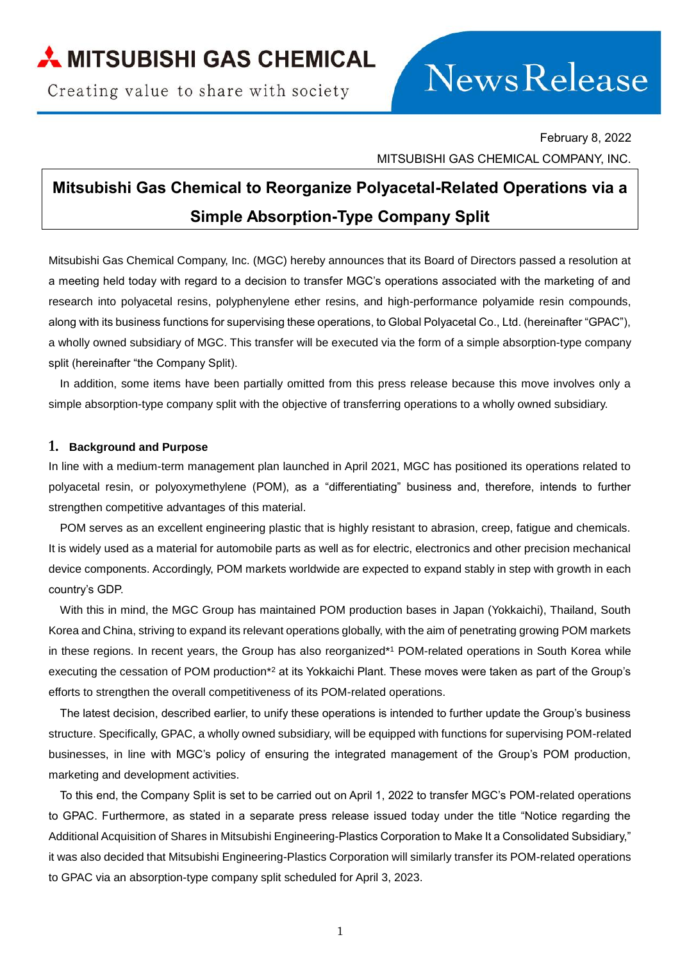## MITSUBISHI GAS CHEMICAL

Creating value to share with society

# News Release

February 8, 2022 MITSUBISHI GAS CHEMICAL COMPANY, INC.

### **Mitsubishi Gas Chemical to Reorganize Polyacetal-Related Operations via a Simple Absorption-Type Company Split**

Mitsubishi Gas Chemical Company, Inc. (MGC) hereby announces that its Board of Directors passed a resolution at a meeting held today with regard to a decision to transfer MGC's operations associated with the marketing of and research into polyacetal resins, polyphenylene ether resins, and high-performance polyamide resin compounds, along with its business functions for supervising these operations, to Global Polyacetal Co., Ltd. (hereinafter "GPAC"), a wholly owned subsidiary of MGC. This transfer will be executed via the form of a simple absorption-type company split (hereinafter "the Company Split).

In addition, some items have been partially omitted from this press release because this move involves only a simple absorption-type company split with the objective of transferring operations to a wholly owned subsidiary.

#### **1. Background and Purpose**

In line with a medium-term management plan launched in April 2021, MGC has positioned its operations related to polyacetal resin, or polyoxymethylene (POM), as a "differentiating" business and, therefore, intends to further strengthen competitive advantages of this material.

POM serves as an excellent engineering plastic that is highly resistant to abrasion, creep, fatigue and chemicals. It is widely used as a material for automobile parts as well as for electric, electronics and other precision mechanical device components. Accordingly, POM markets worldwide are expected to expand stably in step with growth in each country's GDP.

With this in mind, the MGC Group has maintained POM production bases in Japan (Yokkaichi), Thailand, South Korea and China, striving to expand its relevant operations globally, with the aim of penetrating growing POM markets in these regions. In recent years, the Group has also reorganized\*<sup>1</sup> POM-related operations in South Korea while executing the cessation of POM production\*<sup>2</sup> at its Yokkaichi Plant. These moves were taken as part of the Group's efforts to strengthen the overall competitiveness of its POM-related operations.

The latest decision, described earlier, to unify these operations is intended to further update the Group's business structure. Specifically, GPAC, a wholly owned subsidiary, will be equipped with functions for supervising POM-related businesses, in line with MGC's policy of ensuring the integrated management of the Group's POM production, marketing and development activities.

To this end, the Company Split is set to be carried out on April 1, 2022 to transfer MGC's POM-related operations to GPAC. Furthermore, as stated in a separate press release issued today under the title "Notice regarding the Additional Acquisition of Shares in Mitsubishi Engineering-Plastics Corporation to Make It a Consolidated Subsidiary," it was also decided that Mitsubishi Engineering-Plastics Corporation will similarly transfer its POM-related operations to GPAC via an absorption-type company split scheduled for April 3, 2023.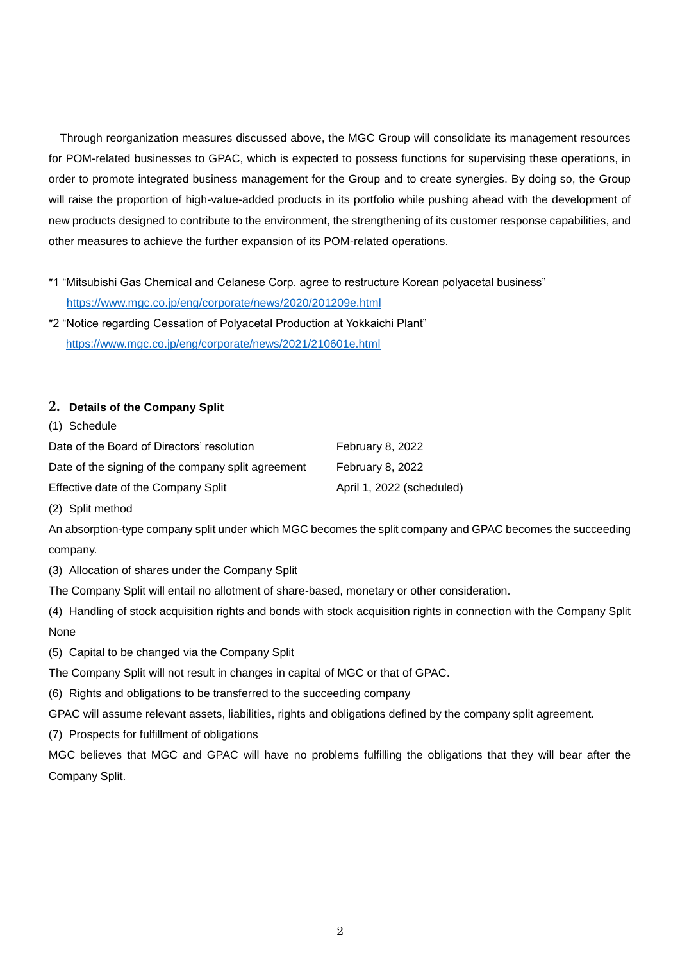Through reorganization measures discussed above, the MGC Group will consolidate its management resources for POM-related businesses to GPAC, which is expected to possess functions for supervising these operations, in order to promote integrated business management for the Group and to create synergies. By doing so, the Group will raise the proportion of high-value-added products in its portfolio while pushing ahead with the development of new products designed to contribute to the environment, the strengthening of its customer response capabilities, and other measures to achieve the further expansion of its POM-related operations.

- \*1 "Mitsubishi Gas Chemical and Celanese Corp. agree to restructure Korean polyacetal business" <https://www.mgc.co.jp/eng/corporate/news/2020/201209e.html>
- \*2 "Notice regarding Cessation of Polyacetal Production at Yokkaichi Plant" <https://www.mgc.co.jp/eng/corporate/news/2021/210601e.html>

#### **2. Details of the Company Split**

(1) Schedule

| Date of the Board of Directors' resolution         | February 8, 2022          |
|----------------------------------------------------|---------------------------|
| Date of the signing of the company split agreement | February 8, 2022          |
| Effective date of the Company Split                | April 1, 2022 (scheduled) |

(2) Split method

An absorption-type company split under which MGC becomes the split company and GPAC becomes the succeeding company.

(3) Allocation of shares under the Company Split

The Company Split will entail no allotment of share-based, monetary or other consideration.

- (4) Handling of stock acquisition rights and bonds with stock acquisition rights in connection with the Company Split None
- (5) Capital to be changed via the Company Split

The Company Split will not result in changes in capital of MGC or that of GPAC.

(6) Rights and obligations to be transferred to the succeeding company

GPAC will assume relevant assets, liabilities, rights and obligations defined by the company split agreement.

(7) Prospects for fulfillment of obligations

MGC believes that MGC and GPAC will have no problems fulfilling the obligations that they will bear after the Company Split.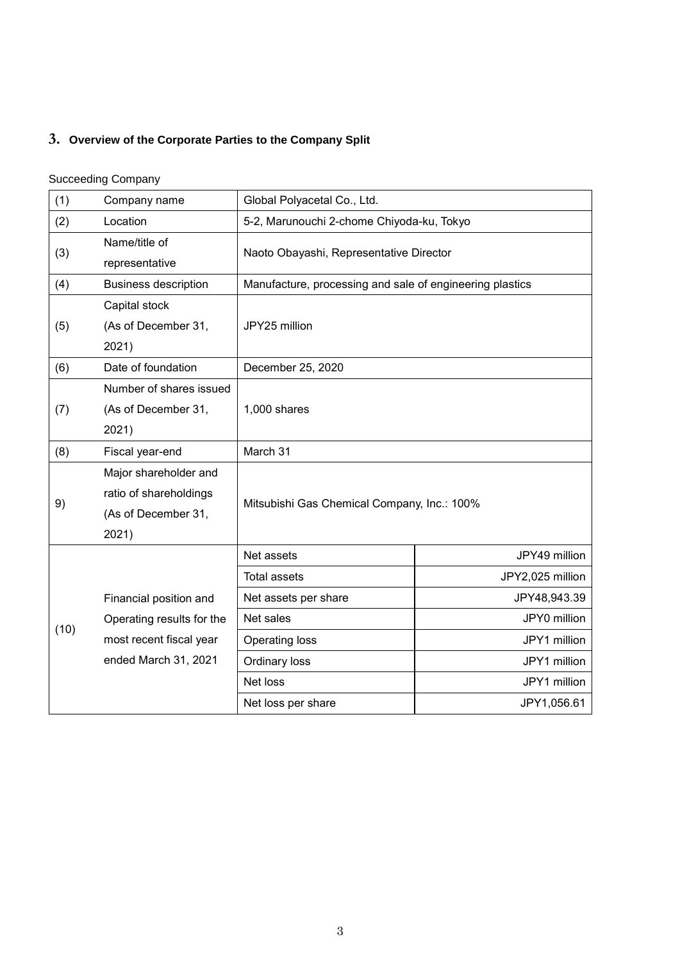#### **3. Overview of the Corporate Parties to the Company Split**

#### Succeeding Company

| (1)  | Company name                                                                    | Global Polyacetal Co., Ltd.                              |                  |  |
|------|---------------------------------------------------------------------------------|----------------------------------------------------------|------------------|--|
| (2)  | Location                                                                        | 5-2, Marunouchi 2-chome Chiyoda-ku, Tokyo                |                  |  |
| (3)  | Name/title of<br>representative                                                 | Naoto Obayashi, Representative Director                  |                  |  |
| (4)  | <b>Business description</b>                                                     | Manufacture, processing and sale of engineering plastics |                  |  |
| (5)  | Capital stock<br>(As of December 31,<br>2021)                                   | JPY25 million                                            |                  |  |
| (6)  | Date of foundation                                                              | December 25, 2020                                        |                  |  |
| (7)  | Number of shares issued<br>(As of December 31,<br>2021)                         | 1,000 shares                                             |                  |  |
| (8)  | Fiscal year-end                                                                 | March 31                                                 |                  |  |
| 9)   | Major shareholder and<br>ratio of shareholdings<br>(As of December 31,<br>2021) | Mitsubishi Gas Chemical Company, Inc.: 100%              |                  |  |
| (10) |                                                                                 | Net assets                                               | JPY49 million    |  |
|      |                                                                                 | <b>Total assets</b>                                      | JPY2,025 million |  |
|      | Financial position and                                                          | Net assets per share                                     | JPY48,943.39     |  |
|      | Operating results for the                                                       | Net sales                                                | JPY0 million     |  |
|      | most recent fiscal year                                                         | Operating loss                                           | JPY1 million     |  |
|      | ended March 31, 2021                                                            | Ordinary loss                                            | JPY1 million     |  |
|      |                                                                                 | Net loss                                                 | JPY1 million     |  |
|      |                                                                                 | Net loss per share                                       | JPY1,056.61      |  |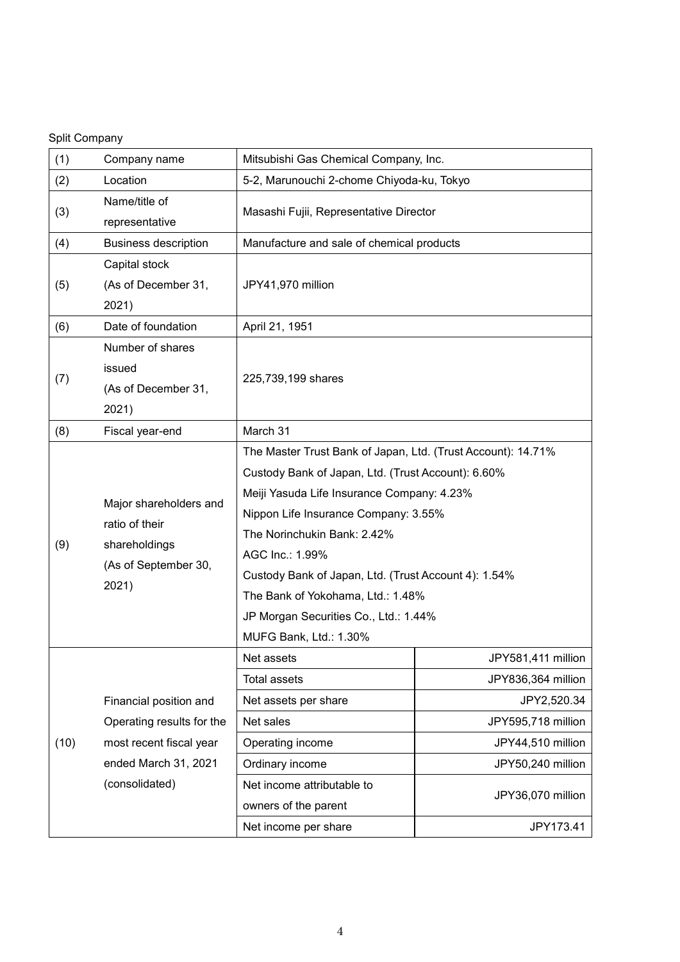#### Split Company

| (1)  | Company name                                                                               | Mitsubishi Gas Chemical Company, Inc.                        |                    |  |
|------|--------------------------------------------------------------------------------------------|--------------------------------------------------------------|--------------------|--|
| (2)  | Location                                                                                   | 5-2, Marunouchi 2-chome Chiyoda-ku, Tokyo                    |                    |  |
| (3)  | Name/title of                                                                              | Masashi Fujii, Representative Director                       |                    |  |
|      | representative                                                                             |                                                              |                    |  |
| (4)  | <b>Business description</b>                                                                | Manufacture and sale of chemical products                    |                    |  |
|      | Capital stock                                                                              |                                                              |                    |  |
| (5)  | (As of December 31,                                                                        | JPY41,970 million                                            |                    |  |
|      | 2021)                                                                                      |                                                              |                    |  |
| (6)  | Date of foundation                                                                         | April 21, 1951                                               |                    |  |
|      | Number of shares                                                                           |                                                              |                    |  |
|      | issued                                                                                     |                                                              |                    |  |
| (7)  | (As of December 31,                                                                        | 225,739,199 shares                                           |                    |  |
|      | 2021)                                                                                      |                                                              |                    |  |
| (8)  | Fiscal year-end                                                                            | March 31                                                     |                    |  |
|      |                                                                                            | The Master Trust Bank of Japan, Ltd. (Trust Account): 14.71% |                    |  |
|      | Major shareholders and<br>ratio of their<br>shareholdings<br>(As of September 30,<br>2021) | Custody Bank of Japan, Ltd. (Trust Account): 6.60%           |                    |  |
|      |                                                                                            | Meiji Yasuda Life Insurance Company: 4.23%                   |                    |  |
|      |                                                                                            | Nippon Life Insurance Company: 3.55%                         |                    |  |
|      |                                                                                            | The Norinchukin Bank: 2.42%                                  |                    |  |
| (9)  |                                                                                            | AGC Inc.: 1.99%                                              |                    |  |
|      |                                                                                            | Custody Bank of Japan, Ltd. (Trust Account 4): 1.54%         |                    |  |
|      |                                                                                            | The Bank of Yokohama, Ltd.: 1.48%                            |                    |  |
|      |                                                                                            | JP Morgan Securities Co., Ltd.: 1.44%                        |                    |  |
|      |                                                                                            | MUFG Bank, Ltd.: 1.30%                                       |                    |  |
| (10) |                                                                                            | Net assets                                                   | JPY581,411 million |  |
|      |                                                                                            | <b>Total assets</b>                                          | JPY836,364 million |  |
|      | Financial position and                                                                     | Net assets per share                                         | JPY2,520.34        |  |
|      | Operating results for the                                                                  | Net sales                                                    | JPY595,718 million |  |
|      | most recent fiscal year                                                                    | Operating income                                             | JPY44,510 million  |  |
|      | ended March 31, 2021                                                                       | Ordinary income                                              | JPY50,240 million  |  |
|      | (consolidated)                                                                             | Net income attributable to                                   |                    |  |
|      |                                                                                            | owners of the parent                                         | JPY36,070 million  |  |
|      |                                                                                            | Net income per share                                         | JPY173.41          |  |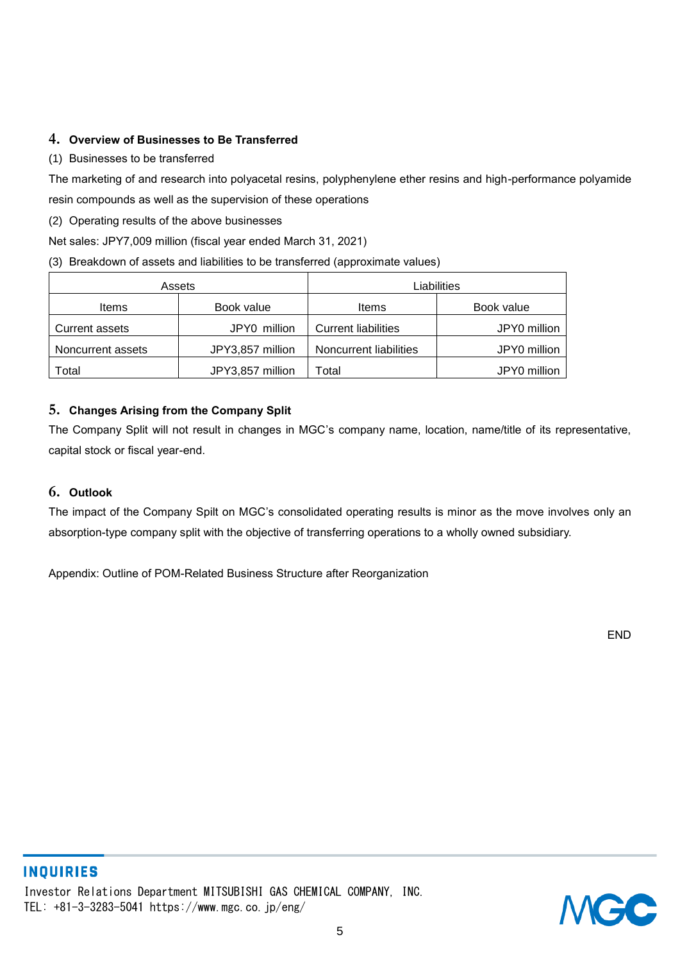#### **4. Overview of Businesses to Be Transferred**

#### (1) Businesses to be transferred

The marketing of and research into polyacetal resins, polyphenylene ether resins and high-performance polyamide resin compounds as well as the supervision of these operations

(2) Operating results of the above businesses

Net sales: JPY7,009 million (fiscal year ended March 31, 2021)

#### (3) Breakdown of assets and liabilities to be transferred (approximate values)

|                   | Assets           | Liabilities                |              |
|-------------------|------------------|----------------------------|--------------|
| Items             | Book value       | Items                      | Book value   |
| Current assets    | JPY0 million     | <b>Current liabilities</b> | JPY0 million |
| Noncurrent assets | JPY3,857 million | Noncurrent liabilities     | JPY0 million |
| Total             | JPY3,857 million | Total                      | JPY0 million |

#### **5. Changes Arising from the Company Split**

The Company Split will not result in changes in MGC's company name, location, name/title of its representative, capital stock or fiscal year-end.

#### **6. Outlook**

The impact of the Company Spilt on MGC's consolidated operating results is minor as the move involves only an absorption-type company split with the objective of transferring operations to a wholly owned subsidiary.

Appendix: Outline of POM-Related Business Structure after Reorganization

END